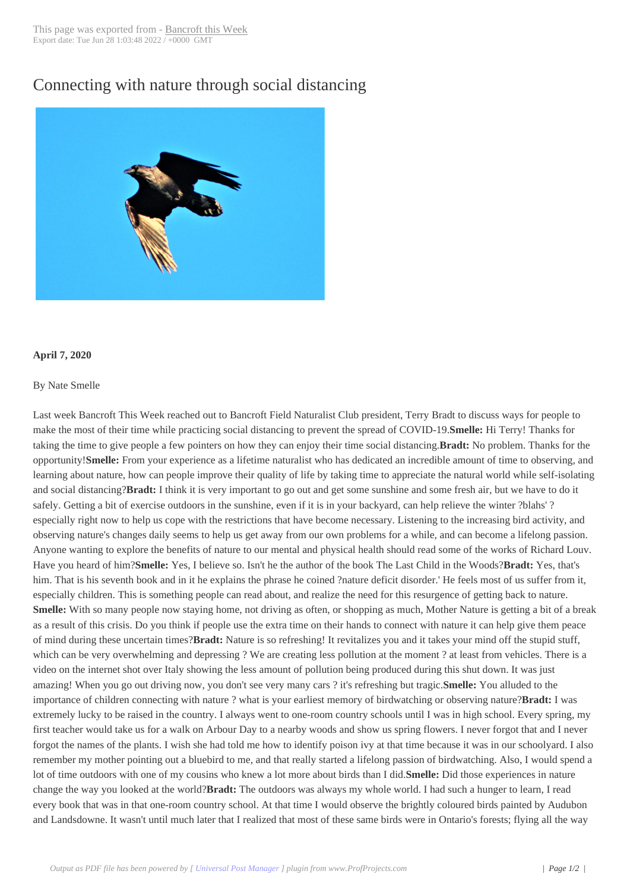## Connecting with n[ature through](http://www.bancroftthisweek.com/?p=10395) social distancing



## **April 7, 2020**

## By Nate Smelle

Last week Bancroft This Week reached out to Bancroft Field Naturalist Club president, Terry Bradt to discuss ways for people to make the most of their time while practicing social distancing to prevent the spread of COVID-19.**Smelle:** Hi Terry! Thanks for taking the time to give people a few pointers on how they can enjoy their time social distancing.**Bradt:** No problem. Thanks for the opportunity!**Smelle:** From your experience as a lifetime naturalist who has dedicated an incredible amount of time to observing, and learning about nature, how can people improve their quality of life by taking time to appreciate the natural world while self-isolating and social distancing?**Bradt:** I think it is very important to go out and get some sunshine and some fresh air, but we have to do it safely. Getting a bit of exercise outdoors in the sunshine, even if it is in your backyard, can help relieve the winter ?blahs' ? especially right now to help us cope with the restrictions that have become necessary. Listening to the increasing bird activity, and observing nature's changes daily seems to help us get away from our own problems for a while, and can become a lifelong passion. Anyone wanting to explore the benefits of nature to our mental and physical health should read some of the works of Richard Louv. Have you heard of him?**Smelle:** Yes, I believe so. Isn't he the author of the book The Last Child in the Woods?**Bradt:** Yes, that's him. That is his seventh book and in it he explains the phrase he coined ?nature deficit disorder.' He feels most of us suffer from it, especially children. This is something people can read about, and realize the need for this resurgence of getting back to nature. **Smelle:** With so many people now staying home, not driving as often, or shopping as much, Mother Nature is getting a bit of a break as a result of this crisis. Do you think if people use the extra time on their hands to connect with nature it can help give them peace of mind during these uncertain times?**Bradt:** Nature is so refreshing! It revitalizes you and it takes your mind off the stupid stuff, which can be very overwhelming and depressing ? We are creating less pollution at the moment ? at least from vehicles. There is a video on the internet shot over Italy showing the less amount of pollution being produced during this shut down. It was just amazing! When you go out driving now, you don't see very many cars ? it's refreshing but tragic.**Smelle:** You alluded to the importance of children connecting with nature ? what is your earliest memory of birdwatching or observing nature?**Bradt:** I was extremely lucky to be raised in the country. I always went to one-room country schools until I was in high school. Every spring, my first teacher would take us for a walk on Arbour Day to a nearby woods and show us spring flowers. I never forgot that and I never forgot the names of the plants. I wish she had told me how to identify poison ivy at that time because it was in our schoolyard. I also remember my mother pointing out a bluebird to me, and that really started a lifelong passion of birdwatching. Also, I would spend a lot of time outdoors with one of my cousins who knew a lot more about birds than I did.**Smelle:** Did those experiences in nature change the way you looked at the world?**Bradt:** The outdoors was always my whole world. I had such a hunger to learn, I read every book that was in that one-room country school. At that time I would observe the brightly coloured birds painted by Audubon and Landsdowne. It wasn't until much later that I realized that most of these same birds were in Ontario's forests; flying all the way